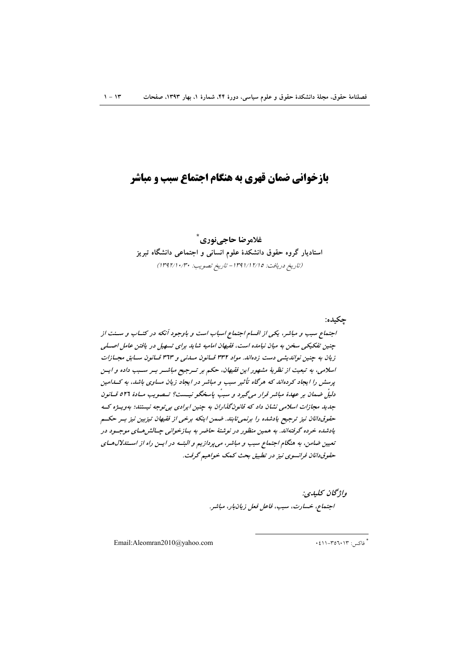# بازخوانی ضمان قهری به هنگام اجتماع سبب و مباشر

غلام ضا حاجے نوری ؓ استادیار گروه حقوق دانشکدهٔ علوم انسانی و اجتماعی دانشگاه تبریز (تاريخ دريافت: ١٣٩١/١٢/١٣٩ - تاريخ تصويب: ١٣٩٢/١٠/٣)

چکیده: اجتماع سبب و مباشر، یکی از اقسام اجتماع اسباب است و باوجود آنکه در کتـاب و سـنت از چنین تفکیکی سخن به میان نیامده است، فقیهان امامیه شاید برای تسهیل در یافتن عامل اصلی زیان به چنین نواندیشی دست زدهاند. مواد ۳۳۲ قبانون میدنی و ۳۶۳ قبانون سیابق مجبازات اسلامی، به تبعیت از نظریهٔ مشهور این فقیهان، حکم بر تسرجیح مباشسر بسر سسبب داده و ایسن پرسش را ایجاد کردهاند که هرگاه تأثیر سبب و مباشر در ایجاد زیان مساوی باشد، به کـدامین دلیلٌ ضمان بر عهدهٔ مباشر قرار میگیرد و سببْ باسخگو نیسست؟ تـصویب مـادهٔ ٥٢٦ قــانون جدید مجازات اسلامی نشان داد که قانونگذاران به چنین ایرادی بی توجه نیستند؛ بهویتژه ک حقوق دانان نیز ترجیح یادشده را برنمی تابند. ضمن اینکه برخی از فقیهان تیزبین نیز بهر حکسم یادشده خرده گرفتهاند. به همین منظور در نوشتهٔ حاضر به بیازخوانی چیالش هیای موجسود در تعیین ضامن، به هنگام اجتماع سبب و مباشر، می پردازیم و البته در ایـن راه از اسـتدلال هـای حقوق دانان فرانسوی نیز در تطبیق بحث کمک خواهیم گرفت.

> واژىخان كىلىدى: اجتماع، خسارت، سبب، فاعل فعل زيان بار، مباشر.

Email:Aleomran2010@yahoo.com

\* فاکس: ۳۵٦٠١٣-۰٤١١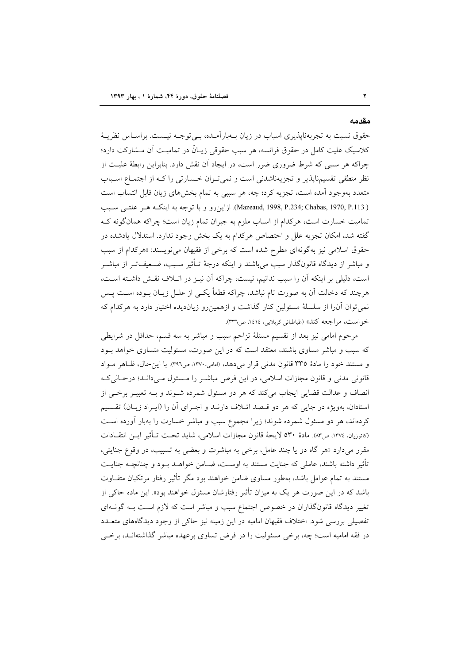مقدمه

۲

حقوق نسبت به تجربه نایذیری اسباب در زیانِ بــهبارآمــده، بــی توجــه نیــست. براســاس نظریــهٔ کلاسیک علیت کامل در حقوق فرانسه، هر سبب حقوقی زیـانْ در تمامیـت آن مــشارکت دارد؛ چراکه هر سببی که شرط ضروری ضرر است، در ایجاد آن نقش دارد. بنابراین رابطهٔ علیت از نظر منطقی تقسیمناپذیر و تجزیهناشدنی است و نمیتوان خسارتی را کـه از اجتمـاع اسـباب متعدد بهوجود آمده است، تجزیه کرد؛ چه، هر سببی به تمام بخشهای زیان قابل انتساب است ( Mazeaud, 1998, P.234; Chabas, 1970, P.113). ازاین رو و با توجه به اینکـه هـر علتـی سـبب تمامیت خسارت است، هرکدام از اسباب ملزم به جبران تمام زیان است؛ چراکه همانگونه ک گفته شد، امکان تجزیه علل و اختصاص هرکدام به یک بخش وجود ندارد. استدلال یادشده در حقوق اسلامی نیز بهگونهای مطرح شده است که برخی از فقیهان می نویسند: «هرکدام از سبب و مباشر از دیدگاه قانونگذار سبب می باشند و اینکه درجهٔ تــأثیر ســبب، ضــعیفــتـر از مباشــر است، دلیلی بر اینکه آن را سبب ندانیم، نیست، چراکه آن نیــز در اتــلاف نقــش داشــته اســت، هرچند که دخالت آن به صورت تام نباشد، چراکه قطعاً یکسی از علــل زیــان بــوده اســت پــس نمي توان آنرا از سلسلهٔ مسئولين كنار گذاشت و ازهمين رو زيانديده اختيار دارد به هركدام كه خو است، مر اجعه كند» (طباطبائي كربلايي، ١٤١٤، ص٣٣٦).

مرحوم امامي نيز بعد از تقسيم مسئلة تزاحم سبب و مباشر به سه قسم، حداقل در شرايطي که سبب و مباشر مساوی باشند، معتقد است که در این صورت، مسئولیت متساوی خواهد بـود و مستند خود را مادهٔ ۳۳۵ قانون مدنی قرار می دهد، (امامی،۱۳۷۰، ص۳۹٦). با این حال، ظـاهر مـواد قانونی مدنی و قانون مجازات اسلامی، در این فرض مباشـر را مـسئول مـی دانـد؛ درحـالی کـه انصاف و عدالت قضایی ایجاب می کند که هر دو مسئول شمرده شـوند و بـه تعبیـر برخـی از استادان، بهویژه در جایی که هر دو قسمد اتلاف دارنـد و اجـرای آن را (ایـراد زیـان) تقـسیم کردهاند، هر دو مسئول شمرده شوند؛ زیرا مجموع سبب و مباشر خسارت را بهبار آورده است (كاتوزيان، ١٣٧٤، ص٨٣. مادة ٥٣٠ لايحة قانون مجازات اسلامي، شايد تحت تـأثير ايــن انتقــادات مقرر میدارد «هر گاه دو یا چند عامل، برخی به مباشرت و بعضی به تسبیب، در وقوع جنایتی، تأثیر داشته باشند، عاملی که جنایت مستند به اوسـت، ضـامن خواهــد بــود و چنانچــه جنایــت مستند به تمام عوامل باشد، بهطور مساوى ضامن خواهند بود مگر تأثیر رفتار مرتکبان متفــاوت باشد که در این صورت هر یک به میزان تأثیر رفتارشان مسئول خواهند بود». این ماده حاکی از تغییر دیدگاه قانونگذاران در خصوص اجتماع سبب و مباشر است که لازم است بـه گونـهای تفصیلی بررسی شود. اختلاف فقیهان امامیه در این زمینه نیز حاکی از وجود دیدگاههای متعــدد در فقه امامیه است؛ چه، برخی مسئولیت را در فرض تساوی برعهده مباشر گذاشتهانـد، برخـی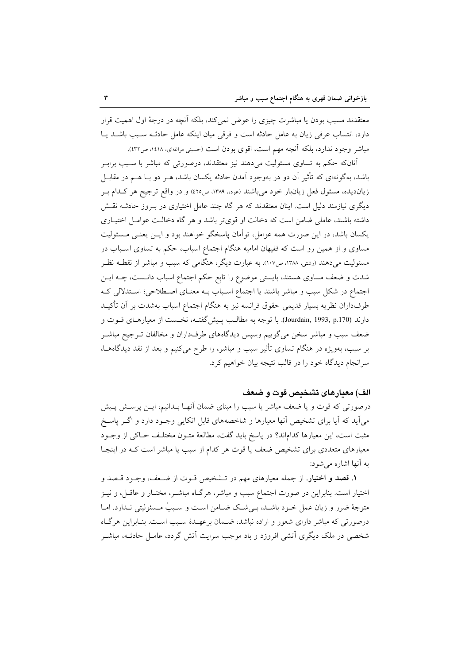معتقدند مسبب بودن يا مباشرت چيزي را عوض نمي كند، بلكه آنچه در درجهٔ اول اهميت قرار دارد، انتساب عرفي زيان به عامل حادثه است و فرقي ميان اينكه عامل حادثـه سـبب باشــد يــا مباشر وجود ندارد، بلکه آنچه مهم است، اقوی بودن است (حسینی مراغهای، ۱٤١٨، ص٤٣٢).

۔<br>آنانکه حکم به تساوی مسئولیت می0هند نیز معتقدند، درصورتی که مباشر با سـبب برابـر باشد، بهگونهای که تأثیر آن دو در بهوجود آمدن حادثه یکسان باشد، هـر دو بــا هــم در مقابــل زیاندیده، مسئول فعل زیانبار خود می باشند (عوده، ۱۳۸۹، ص٤٢٥) و در واقع ترجیح هر کـدام بـر دیگری نیازمند دلیل است. اینان معتقدند که هر گاه چند عامل اختیاری در بـروز حادثـه نقــش داشته باشند، عاملی ضامن است که دخالت او قوی تر باشد و هر گاه دخالـت عوامـل اختیـاری یکسان باشد، در این صورت همه عوامل، توأمان پاسخگو خواهند بود و ایــن یعنــی مــسئولیت مساوی و از همین رو است که فقیهان امامیه هنگام اجتماع اسباب، حکم به تساوی اسـباب در مسئولیت می دهند (رشتی، ۱۳۸۸، ص۱۰۷). به عبارت دیگر، هنگامی که سبب و مباشر از نقطــه نظــر شدت و ضعف مساوی هستند، بایستی موضوع را تابع حکم اجتماع اسباب دانـست، چــه ایــن اجتماع در شکل سبب و مباشر باشند یا اجتماع اسـباب بـه معنـای اصـطلاحی؛ اسـتدلالی کـه طرفداران نظريه بسيار قديمي حقوق فرانسه نيز به هنگام اجتماع اسباب بهشدت بر آن تأكيــد دارند (Jourdain, 1993, p.170). با توجه به مطالب پـیش\$فتـه، نخـست از معیارهـای قــوت و ضعف سبب و مباشر سخن میگوییم وسپس دیدگاههای طرفداران و مخالفان تـرجیح مباشـر بر سبب، بهویژه در هنگام تساوی تأثیر سبب و مباشر، را طرح می کنیم و بعد از نقد دیدگاههـا، سرانجام دیدگاه خود را در قالب نتیجه بیان خواهیم کرد.

#### الف) معدارهای تشخیص قوت و ضعف

درصورتی که قوت و یا ضعف مباشر یا سبب را مبنای ضمان آنهــا بــدانیم، ایــن پرســش پــیش میآید که آیا برای تشخیص آنها معیارها و شاخصههای قابل اتکایی وجـود دارد و اگــر پاسـخ مثبت است، این معیارها کداماند؟ در پاسخ باید گفت، مطالعهٔ متـون مختلـف حـاکی از وجـود معیارهای متعددی برای تشخیص ضعف یا قوت هر کدام از سبب یا مباشر است کـه در اینجـا به آنها اشاره می شود:

**۱. قصد و اختیار**. از جمله معیارهای مهم در تـشخیص قـوت از ضـعف، وجـود قـصد و اختیار است. بنابراین در صورت اجتماع سبب و مباشر، هرگIه مباشـر، مختـار و عاقـل، و نیـز متوجهٔ ضرر و زیان عمل خــود باشــد، بــیشـک ضــامن اسـت و سـببْ مــسئولیتی نــدارد. امــا درصورتی که مباشر دارای شعور و اراده نباشد، ضـمان برعهـدهٔ سـبب اسـت. بنـابراین هرگـاه شخصی در ملک دیگری آتشی افروزد و باد موجب سرایت آتش گردد، عامـل حادثــه، مباشــر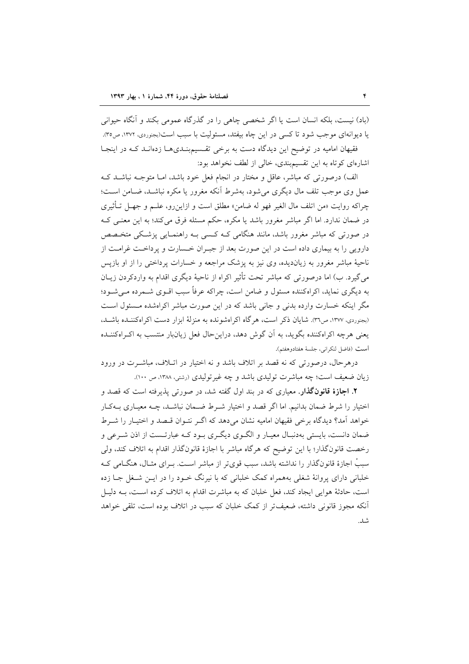(باد) نیست، بلکه انسان است یا اگر شخصی چاهی را در گذرگاه عمومی بکند و آنگاه حیوانی یا دیوانهای موجب شود تاکسی در این چاه بیفتد، مسئولیت با سبب است(بجنوردی، ۱۳۷۲، ص۳۵. فقیهان امامیه در توضیح این دیدگاه دست به برخی تقسیم بندی هـا زدهانـد کـه در اینجـا اشارهای کوتاه به این تقسیم بندی، خالی از لطف نخواهد بود:

الف) درصورتی که مباشر، عاقل و مختار در انجام فعل خود باشد، امـا متوجـه نباشـد کـه عمل وی موجب تلف مال دیگری میشود، بهشرط آنکه مغرور یا مکره نباشـد، ضـامن اسـت؛ چراکه روایت «من اتلف مال الغیر فهو له ضامن» مطلق است و ازاین٫و، علــم و جهــل تــأثیری در ضمان ندارد. اما اگر مباشر مغرور باشد یا مکره، حکم مسئله فرق می کند؛ به این معنـی کـه در صورتی که مباشر مغرور باشد، مانند هنگامی کـه کـسی بـه راهنمـایی پزشـکی متخـصص دارویی را به بیماری داده است در این صورت بعد از جبـران خـسارت و پرداخـت غرامـت از ناحیهٔ مباشر مغرور به زیاندیده، وی نیز به یزشک مراجعه و خسارات پرداختی را از او بازیس می گیرد. ب) اما درصورتی که مباشر تحت تأثیر اکراه از ناحیهٔ دیگری اقدام به واردکردن زیـان به دیگری نماید، اکراهکننده مسئول و ضامن است، چراکه عرفاً سبب اقــوی شــمرده مــیشــود؛ مگر اینکه خسارت وارده بدنی و جانی باشد که در این صورت مباشر اکراهشده مسئول است (بجنوردی، ۱۳۷۷، ص۳۳). شایان ذکر است، هر گاه اکر اهشونده به منزلهٔ ابزار دست اکر اهکننـده باشـد، يعني هرچه اكراهكننده بگويد، به آن گوش دهد، دراينحال فعل زيانبار منتسب به اكـراهكننــده است (فاضل لنكراني، جلسة هفتادوهفتم).

درهرحال، درصورتی که نه قصد بر اتلاف باشد و نه اختیار در اتـلاف، مباشـرت در ورود زیان ضعیف است؛ چه مباشرت تولیدی باشد و چه غیرتولیدی (رشتی، ۱۳۸۸، ص ۱۰۰).

**۲**. **اجازهٔ قانونگذار**. معیاری که در بند اول گفته شد، در صورت<sub>ی</sub> پذیرفته است که قصد و اختیار را شرط ضمان بدانیم. اما اگر قصد و اختیار شـرط ضـمان نباشـد، چـه معیـاری بـهکـار خواهد آمد؟ دیدگاه برخی فقیهان امامیه نشان میدهد که اگـر نتـوان قـصد و اختیـار را شـرط ضمان دانست، بايستي بهدنبـال معيـار و الگــوي ديگــري بــود كــه عبارتــست از اذن شــرعي و رخصت قانونگذار؛ با این توضیح که هرگاه مباشر با اجازهٔ قانونگذار اقدام به اتلاف کند، ولی سببْ اجازهٔ قانونگذار را نداشته باشد، سبب قویتر از مباشر اسـت. بـرای مثـال، هنگـامی کـه خلبانی دارای پروانهٔ شغلی بههمراه کمک خلبانی که با نیرنگ خـود را در ایــن شــغل جــا زده است، حادثهٔ هوایی ایجاد کند، فعل خلبان که به مباشرت اقدام به اتلاف کرده است، بـه دلیـل آنکه مجوز قانونی داشته، ضعیفتر از کمک خلبان که سبب در اتلاف بوده است، تلقی خواهد شد.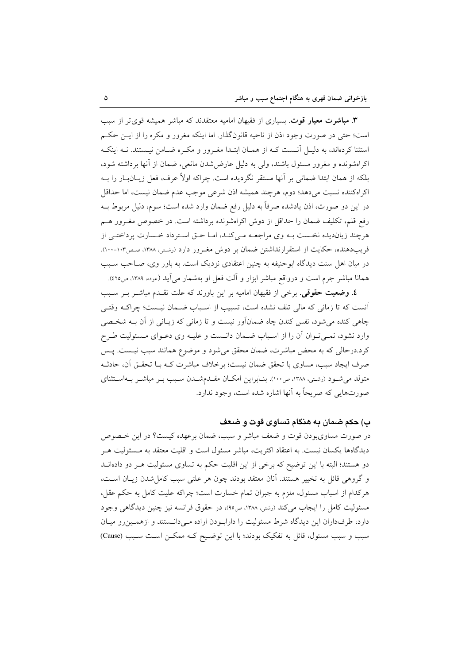**۳. مباشرت معیار قوت**. بسیاری از فقیهان امامیه معتقدند که مباشر همیشه قویتر از سبب است؛ حتی در صورت وجود اذن از ناحیه قانونگذار. اما اینکه مغرور و مکره را از ایـن حکـم استثنا کردهاند، به دلیـل آنـست کـه از همـان ابتـدا مغـرور و مکـره ضـامن نیـستند. نـه اینکـه اکراهشونده و مغرور مسئول باشند، ولي به دليل عارضشدن مانعي، ضمان از آنها برداشته شود، بلکه از همان ابتدا ضمانی بر آنها مستقر نگردیده است. چراکه اولاً عرف، فعل زیــان۱بـار را بــه اكراهكننده نسبت مي دهد؛ دوم، هرچند هميشه اذن شرعي موجب عدم ضمان نيست، اما حداقل در این دو صورت، اذن یادشده صرفاً به دلیل رفع ضمان وارد شده است؛ سوم، دلیل مربوط بــه رفع قلم، تكليف ضمان را حداقل از دوش اكراهشونده برداشته است. در خصوص مغــرور هــم هرچند زیاندیده نخست بـه وی مراجعـه مـیکنـد، امـا حـق اسـترداد خـسارت پرداختـی از فریبدهنده، حکایت از استقرارنداشتن ضمان بر دوش مغـرور دارد (رشـتی، ۱۳۸۸، صـص۱۰۳-۱۰۰). در میان اهل سنت دیدگاه ابوحنیفه به چنین اعتقادی نزدیک است. به باور وی، صـاحب سـبب همانا مباشر جرم است و درواقع مباشر ابزار و آلت فعل او بهشمار می آید (عوده ۱۳۸۹، ص۲۵).

£. وضعیت حقوقی. برخی از فقیهان امامیه بر این باورند که علت تقـدم مباشــر بــر ســبب أنست كه تا زماني كه مالي تلف نشده است، تسبيب از اسـباب ضـمان نيـست؛ چراكـه وقتـي چاهی کنده می شود، نفس کندن چاه ضمانآور نیست و تا زمانی که زیـانی از آن بـه شخـصی وارد نشود، نمـی تـوان آن را از اسـباب ضـمان دانـست و علیـه وی دعـوای مـسئولیت طـرح کرد.درحالی که به محض مباشرت، ضمان محقق میشود و موضوع همانند سبب نیـست. پـس صرف ایجاد سبب، مساوی با تحقق ضمان نیست؛ برخلاف مباشرت کـه بـا تحقـق آن، حادثـه متولد می شود (رشتی، ۱۳۸۸، ص۱۰۰). بنـابراین امکـان مقـدمشـدن سـبب بـر مباشـر بـهاسـتثنای صورتهایی که صریحاً به آنها اشاره شده است، وجود ندارد.

#### ب) حکم ضمان به هنگام تساوی قوت و ضعف

در صورت مساویبودن قوت و ضعف مباشر و سبب، ضمان برعهده کیست؟ در این خـصوص دیدگاهها یکسان نیست. به اعتقاد اکثریت، مباشر مسئول است و اقلیت معتقد به مـسئولیت هـر دو هستند؛ البته با این توضیح که برخی از این اقلیت حکم به تساوی مسئولیت هـر دو دادهانــد و گروهی قائل به تخییر هستند. آنان معتقد بودند چون هر علتی سبب کامل شدن زیـان اسـت، هركدام از اسباب مسئول، ملزم به جبران تمام خسارت است؛ چراكه عليت كامل به حكم عقل، مسئوليت كامل را ايجاب مي كند (رشتي، ١٣٨٨، ص٩٥)، در حقوق فرانسه نيز چنين ديدگاهي وجود دارد، طرفداران این دیدگاه شرط مسئولیت را دارابودن اراده مـیدانـستند و ازهمـینرو میـان سبب و سبب مسئول، قائل به تفکیک بودند؛ با این توضیح کـه ممکـن اسـت سـبب (Cause)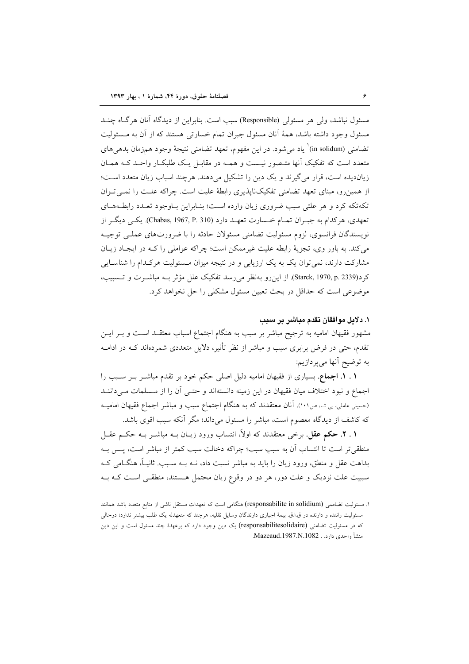مسئول نباشد، ولي هر مسئولي (Responsible) سبب است. بنابراين از ديدگاه آنان هرگIه چنـد مسئول وجود داشته باشد، همهٔ آنان مسئول جبران تمام خسارتی هستند که از آن به مـسئولیت تضامني (in solidum) ياد مي شود. در اين مفهوم، تعهد تضامني نتيجهٔ وجود همزمان بدهي هاي متعدد است که تفکیک آنها متـصور نیـست و همـه در مقابـل یـک طلبکـار واحـد کـه همـان زیاندیده است، قرار میگیرند و یک دین را تشکیل میدهند. هرچند اسباب زیان متعدد اسـت؛ از همینرو، مبنای تعهد تضامنی تفکیکناپذیری رابطهٔ علیت است. چراکه علـت را نمـی تـوان تکهتکه کرد و هر علتی سبب ضروری زیان وارده است؛ بنـابراین بـاوجود تعـدد رابطـههـای تعهدي، هركدام به جبـران تمـام خـسارت تعهـد دارد (Chabas, 1967, P. 310). يكـي ديگـر از نویسندگان فرانسوی، لزوم مسئولیت تضامنی مسئولان حادثه را با ضرورتهای عملـی توجیـه می کند. به باور وی، تجزیهٔ رابطه علیت غیرممکن است؛ چراکه عواملی را کـه در ایجـاد زیـان مشارکت دارند، نمی توان یک به یک ارزیابی و در نتیجه میزان مـسئولیت هرکـدام را شناسـایی کرد(Starck, 1970, p. 2339). از این رو بهنظر می رسد تفکیک علل مؤثر بـه مباشــرت و تــسبیب، موضوعي است كه حداقل در بحث تعيين مسئول مشكلي را حل نخواهد كرد.

#### ١. دلايل موافقان تقدم مباشر بر سبب

مشهور فقیهان امامیه به ترجیح مباشر بر سبب به هنگام اجتماع اسباب معتقــد اســت و بــر ایــن تقدم، حتی در فرض برابری سبب و مباشر از نظر تأثیر، دلایل متعددی شمردهاند کـه در ادامــه به توضیح آنها میپردازیم:

**۱. ۱. اجماع.** بسیاری از فقیهان امامیه دلیل اصلی حکم خود بر تقدم مباشـر بـر سـبب را اجماع و نبود اختلاف میان فقیهان در این زمینه دانستهاند و حتبی آن را از مـسلمات مـیداننـد (حسینی عاملی، بی تـا، ص١٠١). آنان معتقدند که به هنگام اجتماع سبب و مباشر اجماع فقیهان امامیــه که کاشف از دیدگاه معصوم است، مباشر را مسئول میداند؛ مگر آنکه سبب اقوی باشد.

**۱ . ۲ .حکم عقل**. برخی معتقدند که اولاً، انتساب ورود زیـان بــه مباشــر بــه حکــم عقــل منطقی تر است تا انتساب آن به سببِ سبب؛ چراکه دخالت سبب کمتر از مباشر است، پـس بـه بداهت عقل و منطق، ورود زیان را باید به مباشر نسبت داد، نــه بــه ســبب. ثانیــاً، هنگــامى كــه سببیت علت نزدیک و علت دور، هر دو در وقوع زیان محتمل هستند، منطقی است کـه بـه

۱. مسئولیت تضاممی (responsabilite in solidium) هنگامی است که تعهدات مستقل ناشی از منابع متعدد باشد همانند مسئولیت راننده و دارنده در ق.ا.ق. بیمهٔ اجباری دارندگان وسایل نقلیه، هرچند که متعهدله یک طلب بیشتر ندارد؛ درحالی که در مسئولیت تضامنی (responsabilitesolidaire) یک دین وجود دارد که برعهدهٔ چند مسئول است و این دین منشأ واحدى دارد. . Mazeaud.1987.N.1082.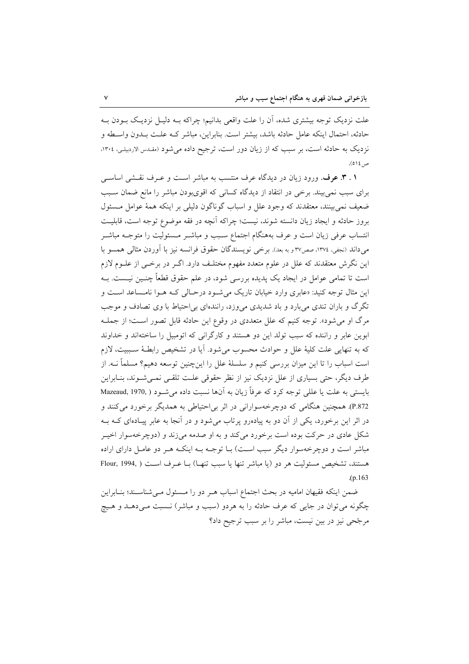علت نزدیک توجه بیشتری شده، آن را علت واقعی بدانیم؛ چراکه بــه دلیــل نزدیــک بــودن بــه حادثه، احتمال اينكه عامل حادثه باشد، بيشتر است. بنابراين، مباشر كـه علـت بـدون واسـطه و نزدیک به حادثه است، بر سبب که از زیان دور است، ترجیح داده می شود (مقدس الاردبیلی، ۱۳۰٤، ص ١٤٥).

**۱ . ۳ . عرف.** ورود زیان در دیدگاه عرف منتسب به مباشر است و عـرف نقـشی اساســی برای سبب نمی بیند. برخی در انتقاد از دیدگاه کسانی که اقویبودن مباشر را مانع ضمان سـبب ضعيف نمي بينند، معتقدند كه وجود علل و اسباب گوناگون دليلي بر اينكه همهٔ عوامل مـسئول بروز حادثه و ایجاد زبان دانسته شوند، نیست؛ چراکه آنچه در فقه موضوع توجه است، قابلیت انتساب عرفی زیان است و عرف بههنگام اجتماع سـبب و مباشـر مـسئولیت را متوجــه مباشـر می داند (نجفی، ۱۳۷٤، صص۳۷ و به بعد). برخی نویسندگان حقوق فرانسه نیز با آوردن مثالی همسو با این نگرش معتقدند که علل در علوم متعدد مفهوم مختلـف دارد. اگـر در برخـی از علــوم لازم است تا تمامی عوامل در ایجاد یک پدیده بررسی شود، در علم حقوق قطعاً چنـین نیـست. بــه این مثال توجه کنید: «عابری وارد خیابان تاریک می شـود درحـالی کـه هـوا نامـساعد اسـت و تگرگ و باران تندی می بارد و باد شدیدی می وزد، رانندهای بی احتیاط با وی تصادف و موجب مرگ او می شود». توجه کنیم که علل متعددی در وقوع این حادثه قابل تصور است؛ از جملـه ابوین عابر و راننده که سبب تولد این دو هستند و کارگرانی که اتومبیل را ساختهاند و خداوند كه به تنهايي علت كليهٔ علل و حوادث محسوب مي شود. آيا در تشخيص رابطـهٔ سـببيت، لازم است اسباب را تا این میزان بررسی کنیم و سلسلهٔ علل را اینچنین توسعه دهیم؟ مسلماً نــه. از طرف دیگر، حتی بسیاری از علل نزدیک نیز از نظر حقوقی علت تلقـی نمـیشـوند، بنـابراین بايستي به علت يا عللي توجه كرد كه عرفاً زيان به آنها نسبت داده مي شـود ( Mazeaud, 1970, P.872). همچنین هنگامی که دوچرخهسوارانی در اثر بی|حتیاطی به همدیگر برخورد میکنند و در اثر این برخورد، یکی از آن دو به پیادهرو پرتاب میشود و در آنجا به عابر پیـادهای کـه بـه شکل عادی در حرکت بوده است برخورد میکند و به او صدمه میزند و (دوچرخهسوار اخیـر مباشر است و دوچرخهسوار دیگر سبب است) بـا توجـه بـه اینکـه هـر دو عامـل دارای اراده هستند، تشخیص مسئولیت هر دو (یا مباشر تنها یا سبب تنهـا) بـا عـرف اسـت ( Flour, 1994,  $(p.163)$ 

ضمن اینکه فقیهان امامیه در بحث اجتماع اسباب هـر دو را مـسئول مـیشناسـند؛ بنـابراین چگونه مي توان در جايي كه عرف حادثه را به هردو (سبب و مباشر) نـسبت مـيدهــد و هـيچ مرجّحی نیز در بین نیست، مباشر را بر سبب ترجیح داد؟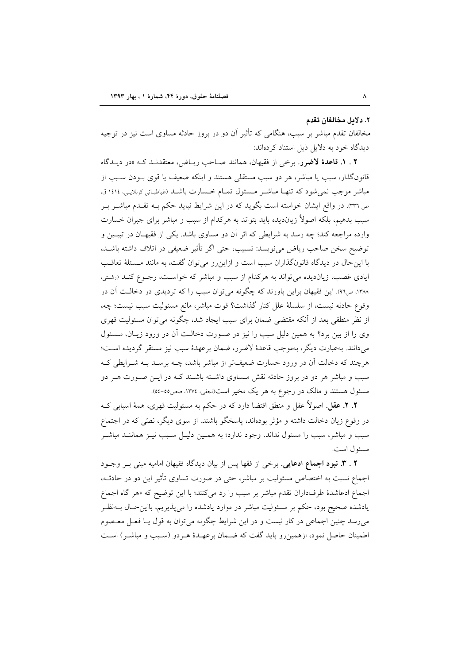#### ٢. دلاىل مخالفان تقدم

مخالفان تقدم مباشر بر سبب، هنگامی که تأثیر آن دو در بروز حادثه مساوی است نیز در توجیه دیدگاه خود به دلایل ذیل استناد کردهاند:

۲ . ۱. قاعدهٔ لاضرر. برخی از فقیهان، همانند صـاحب ریـاض، معتقدنـد کـه «در دیـدگاه قانونگذار، سبب یا مباشر، هر دو سبب مستقلی هستند و اینکه ضعیف یا قوی بــودن ســبب از مباشر موجب نمی شود که تنها مباشـر مـسئول تمـام خـسارت باشـد (طباطبـائی کربلایـی، ١٤١٤ ق. ص ٣٣٦). در واقع ايشان خواسته است بگويد كه در اين شرايط نبايد حكم بـه تقـدم مباشـر بـر سبب بدهیم، بلکه اصولاً زیاندیده باید بتواند به هرکدام از سبب و مباشر برای جبران خسارت وارده مراجعه کند؛ چه رسد به شرایطی که اثر آن دو مساوی باشد. یکی از فقیهـان در تبیـین و توضيح سخن صاحب رياض مي نويسد: تسبيب، حتى اگر تأثير ضعيفي در اتلاف داشته باشـد، با این حال در دیدگاه قانونگذاران سبب است و ازاین رو می توان گفت، به مانند مسئلهٔ تعاقب ایادی غصب، زیاندیده می تواند به هرکدام از سبب و مباشر که خواست، رجـوع کنـد (رشتی، ۱۳۸۸، ص۹۲). این فقیهان براین باورند که چگونه میتوان سبب را که تردیدی در دخالـت آن در وقوع حادثه نيست، از سلسلة علل كنار گذاشت؟ قوت مباشر، مانع مسئوليت سبب نيست؛ چه، از نظر منطقی بعد از آنکه مقتضی ضمان برای سبب ایجاد شد، چگونه میتوان مسئولیت قهری وی را از بین برد؟ به همین دلیل سبب را نیز در صورت دخالت آن در ورود زیـان، مـسئول مىدانند. بهعبارت ديگر، بهموجب قاعدهٔ لاضرر، ضمان برعهدهٔ سبب نيز مستقر گرديده اسـت؛ هرچند که دخالت آن در ورود خسارت ضعیفتر از مباشر باشد، چــه برســد بــه شــرایطی کــه سبب و مباشر هر دو در بروز حادثه نقش مـساوی داشـته باشـند کـه در ایـن صـورت هـر دو مسئول هستند و مالک در رجوع به هر یک مخیر است(نجفی، ۱۳۷۶، صص٥٥-٥٤).

۲. ۲. عقل. اصولاً عقل و منطق اقتضا دارد که در حکم به مسئولیت قهری، همهٔ اسبابی ک در وقوع زيان دخالت داشته و مؤثر بودهاند، پاسخگو باشند. از سوی ديگر، نصّي كه در اجتماع سبب و مباشر، سبب را مسئول نداند، وجود ندارد؛ به همـین دلیـل سـبب نیـز هماننــد مباشــر مسئول است.

۰۲ . سبود اجماع ادعایی. برخی از فقها پس از بیان دیدگاه فقیهان امامیه مبنی بـر وجـود اجماع نسبت به اختصاص مسئولیت بر مباشر، حتی در صورت تساوی تأثیر این دو در حادثــه، اجماع ادعاشدهٔ طرفداران تقدم مباشر بر سبب را رد میکنند؛ با این توضیح که «هر گاه اجماع یادشده صحیح بود، حکم بر مسئولیت مباشر در موارد یادشده را می پذیریم، بااین حال بـهنظـر می رسد چنین اجماعی در کار نیست و در این شرایط چگونه می توان به قول یـا فعـل معـصوم اطمينان حاصل نمود، ازهمين رو بايد گفت كه ضـمان برعهـدۀ هـردو (سـبب و مباشـر) اسـت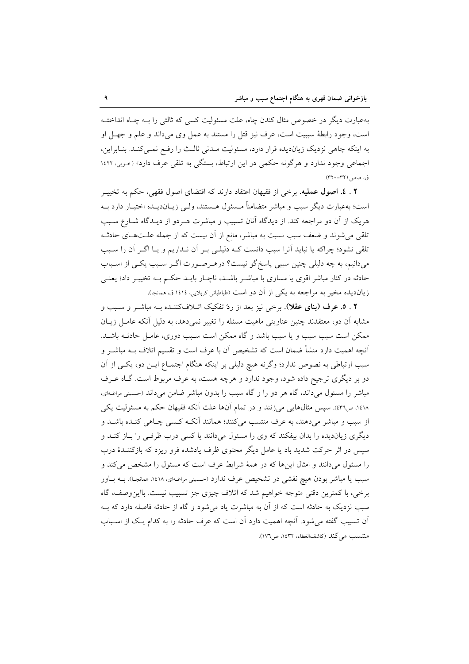بهعبارت دیگر در خصوص مثال کندن چاه، علت مسئولیت کسی که ثالثی را بــه چــاه انداختــه است، وجود رابطهٔ سببیت است، عرف نیز قتل را مستند به عمل وی می داند و علم و جهـل او به اینکه چاهی نزدیک زیاندیده قرار دارد، مسئولیت مـدنی ثالـث را رفع نمـیکنـد. بنـابراین، اجماعی وجود ندارد و هرگونه حکمی در این ارتباط، بستگی به تلقی عرف دارد» (حویی، ۱٤٢٢ ق، صص ٣٦١-٣٢١).

**۲** . ٤. اصول عملیه. برخی از فقیهان اعتقاد دارند که اقتضای اصول فقهی، حکم به تخییــر است؛ بهعبارت دیگر سبب و مباشر متضامناً مــسئول هــستند، ولــی زیــان‹دیــده اختیــار دارد بــه هر یک از آن دو مراجعه کند. از دیدگاه آنان تسبیب و مباشرت هــردو از دیــدگاه شــارع ســبب تلقی می شوند و ضعف سبب نسبت به مباشر، مانع از آن نیست که از جمله علـتهـای حادثـه تلقی نشود؛ چراکه یا نباید آنرا سبب دانست کـه دلیلـی بـر آن نـداریم و یـا اگـر آن را سـبب میدانیم، به چه دلیلی چنین سببی پاسخگو نیست؟ درهـرصـورت اگـر سـبب یکـی از اسـباب حادثه در کنار مباشر اقوی یا مساوی با مباشـر باشـد، ناچـار بایـد حکـم بـه تخییـر داد؛ یعنـی زیاندیده مخیر به مراجعه به یکی از آن دو است (طباطبائی کربلایی، ۱٤۱٤ ق، همانجا).

۰۲. ۵. عرف (بنای عقلا). برخی نیز بعد از ردّ تفکیک اتـلافکننـده بـه مباشـر و سـبب و مشابه آن دو، معتقدند چنین عناوینی ماهیت مسئله را تغییر نمیدهد، به دلیل آنکه عامـل زیـان ممکن است سبب سبب و یا سبب باشد و گاه ممکن است سـبب دوری، عامـل حادثـه باشـد. اَنچه اهمیت دارد منشأ ضمان است که تشخیص اَن با عرف است و تقسیم اتلاف بـه مباشــر و سبب ارتباطی به نصوص ندارد؛ وگرنه هیچ دلیلی بر اینکه هنگام اجتمـاع ایــن دو، یکــی از آن دو بر دیگری ترجیح داده شود، وجود ندارد و هرچه هست، به عرف مربوط است. گـاه عـرف مباشر را مسئول میداند، گاه هر دو را و گاه سبب را بدون مباشر ضامن میداند (حسینی مراغبهای، ۱٤۱۸، ص٤٣٦). سپس مثالهایی می(نند و در تمام آنها علت آنکه فقیهان حکم به مسئولیت یکی از سبب و مباشر میدهند، به عرف منتسب میکنند؛ همانند آنکـه کـسی چـاهی کنـده باشـد و دیگری زیاندیده را بدان بیفکند که وی را مسئول میدانند یا کسی درب ظرفی را بـاز کنــد و سپس در اثر حرکت شدید باد یا عامل دیگر محتوی ظرف یادشده فرو ریزد که بازکننـدهٔ درب را مسئول میدانند و امثال اینها که در همهٔ شرایط عرف است که مسئول را مشخص میکند و سبب یا مباشر بودن هیچ نقشی در تشخیص عرف ندارد (حسینی مراغـهای، ۱٤۱۸، همانجـا). بــه بــاور برخي، با كمترين دقتي متوجه خواهيم شد كه اتلاف چيزي جز تسبيب نيست. بااين وصف، گاه سبب نزدیک به حادثه است که از آن به مباشرت یاد می شود و گاه از حادثه فاصله دارد که بـه اّن تسبیب گفته می شود. اَنچه اهمیت دارد اَن است که عرف حادثه را به کدام یـک از اسـباب منتسب مى كند (كاشفالغطاء، ١٤٣٢، ص١٧٦).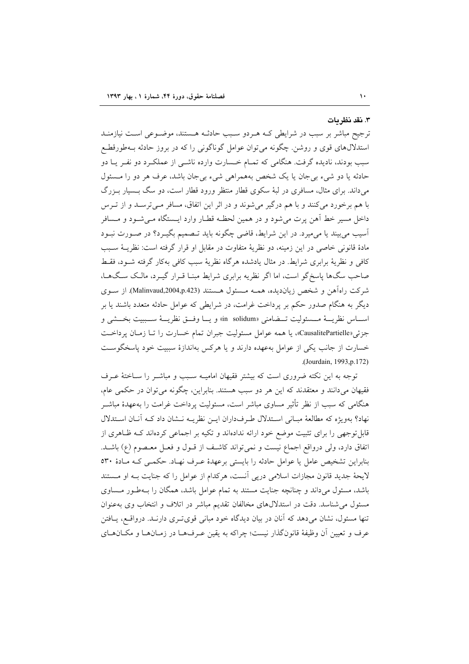#### ٣. نقد نظر مات

ترجيح مباشر بر سبب در شرايطي كــه هــردو ســببِ حادثــه هــستند، موضــوعي اســت نيازمنــد استدلالهای قوی و روشن. چگونه می توان عوامل گوناگونی را که در بروز حادثه بـهطورقطـع سبب بودند، نادیده گرفت. هنگامی که تمـام خـسارت وارده ناشــی از عملکــرد دو نفــر یــا دو حادثه یا دو شیء بی جان یا یک شخص بههمراهی شیء بی جان باشد، عرف هر دو را مسئول میداند. برای مثال، مسافری در لبهٔ سکوی قطار منتظر ورود قطار است، دو سگ بـسیار بـزرگ با هم برخورد می کنند و با هم درگیر می شوند و در اثر این اتفاق، مسافر مـی ترسـد و از تـرس داخل مسیر خط آهن پرت می شود و در همین لحظـه قطـار وارد ایـستگاه مـی شـود و مـسافر آسیب می بیند یا می میرد. در این شرایط، قاضی چگونه باید تــصمیم بگیــرد؟ در صــورت نبــود مادهٔ قانونی خاصی در این زمینه، دو نظریهٔ متفاوت در مقابل او قرار گرفته است: نظریــهٔ سـبب کافی و نظریهٔ برابری شرایط. در مثال یادشده هرگاه نظریهٔ سبب کافی بهکار گرفته شـود، فقـط صاحب سگ0ا پاسخ گو است، اما اگر نظریه برابری شرایط مبنـا قـرار گیـرد، مالـک سـگ0ـا، شركت راهآهن و شخص زيانديده، همــه مــسئول هــستند (Malinvaud,2004,p.423). از ســوى دیگر به هنگام صدور حکم بر پرداخت غرامت، در شرایطی که عوامل حادثه متعدد باشند یا بر اســاس نظريـــهٔ مــسئوليت تـــضامنى «in solidum» ويــا وفــق نظريـــهٔ ســببيت بخــشى و جزئي (CausalitePartielle)»، يا همه عوامل مسئوليت جبران تمام خسارت را تـا زمـان يرداخـت خسارت از جانب یکی از عوامل بهعهده دارند و یا هرکس بهاندازهٔ سببیت خود پاسخگوست (Jourdain, 1993.p.172)

توجه به این نکته ضروری است که بیشتر فقیهان امامیـه سـبب و مباشـر را سـاختهٔ عـرف فقیهان میدانند و معتقدند که این هر دو سبب هستند. بنابراین، چگونه می توان در حکمی عام، هنگامی که سبب از نظر تأثیر مساوی مباشر است، مسئولیت یرداخت غرامت را بهعهدهٔ مباشــر نهاد؟ بهويژه كه مطالعهٔ مبـاني اسـتدلال طـرفداران ايــن نظريــه نــشان داد كــه آنــان اســتدلال قابل توجهی را برای تثبیت موضع خود ارائه ندادهاند و تکیه بر اجماعی کردهاند کـه ظـاهری از اتفاق دارد، ولی درواقع اجماع نیست و نمیتواند کاشف از قـول و فعـل معـصوم (ع) باشـد. بنابراین تشخیص عامل یا عوامل حادثه را بایستی برعهدهٔ عـرف نهـاد. حکمـی کـه مـادهٔ ٥٣٠ لایحهٔ جدید قانون مجازات اسلامی درپی آنست، هرکدام از عوامل را که جنایت بـه او مـستند باشد، مسئول میداند و چنانچه جنایت مستند به تمام عوامل باشد، همگان را بـهطـور مـساوی مسئول می شناسد. دقت در استدلالهای مخالفان تقدیم مباشر در اتلاف و انتخاب وی بهعنوان تنها مسئول، نشان می دهد که آنان در بیان دیدگاه خود مبانی قویتری دارنـد. درواقـع، پـافتن عرف و تعیین أن وظیفهٔ قانونگذار نیست؛ چراکه به یقین عـرف۱مـا در زمـان۱مـا و مکـان۱مـای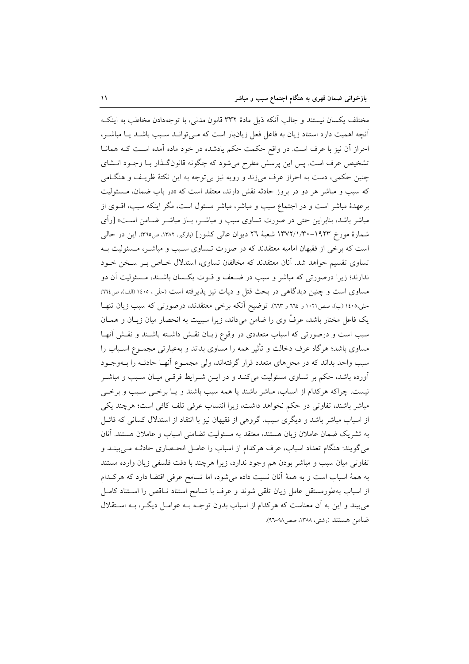مختلف يكسان نيستند و جالب أنكه ذيل مادهٔ ٣٣٢ قانون مدني، با توجهدادن مخاطب به اينكـه آنچه اهمیت دارد استناد زیان به فاعل فعل زیانبار است که مـیتوانـد سـبب باشـد یـا مباشـر، احراز آن نیز با عرف است. در واقع حکمت حکم یادشده در خود ماده آمده است کـه همانــا تشخیص عرف است. پس این پرسش مطرح می شود که چگونه قانون گـذار بـا وجـود انـشای چنین حکمی، دست به احراز عرف میزند و رویه نیز بی توجه به این نکتهٔ ظریـف و هنگـامی که سبب و مباشر هر دو در بروز حادثه نقش دارند، معتقد است که «در باب ضمان، مسئولیت برعهدهٔ مباشر است و در اجتماع سبب و مباشر، مباشر مسئول است، مگر اینکه سبب، اقــوی از مباشر باشد، بنابراین حتی در صورت تساوی سبب و مباشـر، بــاز مباشــر ضــامن اســت» [رأی شمارهٔ مورخ ۱۹۲۳–۱۳۷۲/۱/۳۰ شعبهٔ ۲۲ دیوان عالمی کشور] (بازگیر، ۱۳۸۲، ص۳۱۵). این در حالمی است که برخی از فقیهان امامیه معتقدند که در صورت تـساوی سـبب و مباشـر، مـسئولیت بـه تساوی تقسیم خواهد شد. آنان معتقدند که مخالفان تساوی، استدلال خـاص بـر سـخن خـود ندارند؛ زیرا درصورتی که مباشر و سبب در ضـعف و قـوت یکـسان باشـند، مـسئولیت اَن دو مساوی است و چنین دیدگاهی در بحث قتل و دیات نیز پذیرفته است (حلّی ، ۱٤٠٥ (الف)، ص٢٦٤؛ حلی،١٤٠٥ (ب)، صص١٠٢١ و ٦٦٤ و ٦٦٣). توضيح أنكه برخي معتقدند، درصورتي كه سبب زيان تنهـا یک فاعل مختار باشد، عرفْ وی را ضامن میداند، زیرا سببیت به انحصار میان زیـان و همـان سبب است و درصورتی که اسباب متعددی در وقوع زیـان نقـش داشـته باشـند و نقـش آنهـا مساوی باشد؛ هرگاه عرف دخالت و تأثیر همه را مساوی بداند و بهعبارتی مجمــوع اســباب را سبب واحد بداند که در محلهای متعدد قرار گرفتهاند، ولی مجمـوع آنهـا حادثـه را بــهوجـود آورده باشد، حکم بر تساوی مسئولیت میکنـد و در ایــن شــرایط فرقــی میـان سـبب و مباشــر نیست. چراکه هرکدام از اسباب، مباشر باشند یا همه سبب باشند و یـا برخـی سـبب و برخـی مباشر باشند، تفاوتی در حکم نخواهد داشت، زیرا انتساب عرفی تلف کافی است؛ هرچند یکی از اسباب مباشر باشد و دیگری سبب. گروهی از فقیهان نیز با انتقاد از استدلال کسانی که قائـل به تشریک ضمان عاملان زیان هستند، معتقد به مسئولیت تضامنی اسباب و عاملان هستند. آنان می گویند: هنگام تعداد اسباب، عرف هرکدام از اسباب را عامـل انحـصاری حادثـه مـی بینــد و تفاوتی میان سبب و مباشر بودن هم وجود ندارد، زیرا هرچند با دقت فلسفی زیان وارده مستند به همهٔ اسباب است و به همهٔ آنان نسبت داده میشود، اما تسامح عرفی اقتضا دارد که هرکدام از اسباب بهطورمستقل عامل زيان تلقى شوند و عرف با تسامح استناد نـاقص را اسـتناد كامـل می بیند و این به آن معناست که هرکدام از اسباب بدون توجـه بـه عوامـل دیگـر، بـه اسـتقلال ضامن هستند (رشتی، ۱۳۸۸، صص۹۸-۹۳).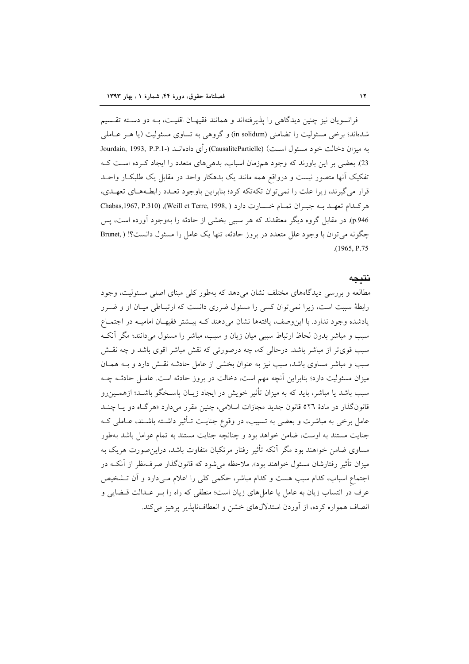فرانسویان نیز چنین دیدگاهی را پذیرفتهاند و همانند فقیهـان اقلیـت، بـه دو دسـته تقـسیم شدهاند؛ برخی مسئولیت را تضامنی (in solidum) و گروهی به تساوی مسئولیت (یا هـر عـاملی به میزان دخالت خود مسئول اسـت) (CausalitePartielle)رأى دادهانــد (Jourdain, 1993, P.P.1-23). بعضی بر این باورند که وجود همزمان اسباب، بدهی های متعدد را ایجاد که ده است ک تفکیک آنها متصور نیست و درواقع همه مانند یک بدهکار واحد در مقابل یک طلبکار واحـد قرار می گیرند، زیرا علت را نمی توان تکه تکه کرد؛ بنابراین باوجود تعـدد رابطـههـای تعهـدی، هركدام تعهد بـه جبـران تمـام خـسارت دارد ( Weill et Terre, 1998,), Chabas,1967, P.310) p.946). در مقابل گروه دیگر معتقدند که هر سببی بخشی از حادثه را بهوجود آورده است، پس چگونه می توان با وجود علل متعدد در بروز حادثه، تنها یک عامل را مسئول دانست؟! ( ,Brunet  $(1965, P.75)$ 

#### نتىجە

مطالعه و بررسی دیدگاههای مختلف نشان میدهد که بهطور کلی مبنای اصلی مسئولیت، وجود رابطهٔ سببت است، زیرا نمی توان کسی را مسئول ضرری دانست که ارتبـاطی میـان او و ضـرر یادشده وجود ندارد. با این وصف، یافتهها نشان می دهند ک بیشتر فقیهان امامیـه در اجتمـاع سبب و مباشر بدون لحاظ ارتباط سببی میان زیان و سبب، مباشر را مسئول می دانند؛ مگر آنک سبب قوی تر از مباشر باشد. درحالی که، چه درصورتی که نقش مباشر اقوی باشد و چه نقــش سبب و مباشر مساوی باشد، سبب نیز به عنوان بخشی از عامل حادثـه نقـش دارد و بـه همـان میزان مسئولیت دارد؛ بنابراین آنچه مهم است، دخالت در بروز حادثه است. عامـل حادثــه چــه سبب باشد یا مباشر، باید که به میزان تأثیر خویش در ایجاد زیـان پاسـخگو باشـد؛ ازهمـین٫و قانونگذار در مادهٔ ۵۲۲ قانون جدید مجازات اسلامی، چنین مقرر میدارد «هرگ)ه دو یـا چنــد عامل برخی به مباشرت و بعضی به تسبیب، در وقوع جنایـت تـأثیر داشـته باشـند، عـاملی کـه جنایت مستند به اوست، ضامن خواهد بود و چنانچه جنایت مستند به تمام عوامل باشد بهطور مساوی ضامن خواهند بود مگر آنکه تأثیر رفتار مرتکبان متفاوت باشد، دراین صورت هریک به میزان تأثیر رفتارشان مسئول خواهند بود». ملاحظه میشود که قانونگذار صرفنظر از آنکـه در اجتماع اسباب، کدام سبب هست و کدام مباشر، حکمی کلی را اعلام مـیدارد و أن تــشخیص عرف در انتساب زيان به عامل يا عاملهاي زيان است؛ منطقى كه راه را بـر عـدالت قــضايى و انصاف همواره کرده، از آوردن استدلالهای خشن و انعطافناپذیر پرهیز می کند.